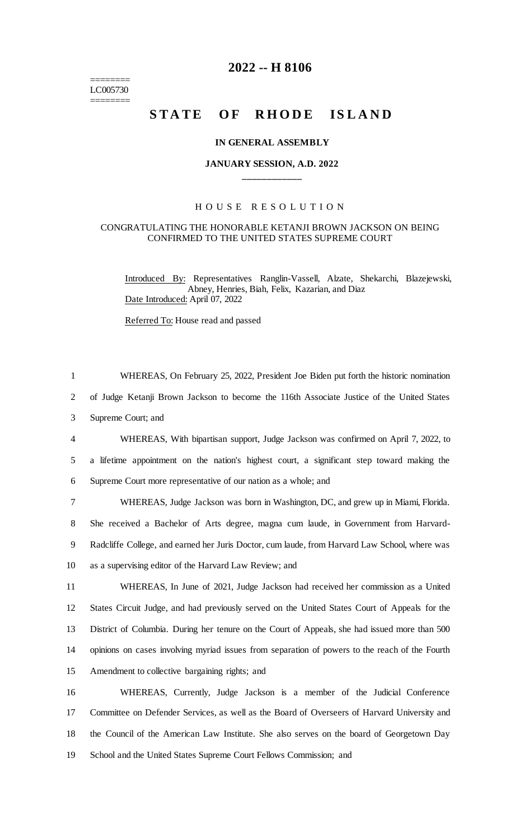======== LC005730 ========

# **2022 -- H 8106**

# **STATE OF RHODE ISLAND**

### **IN GENERAL ASSEMBLY**

# **JANUARY SESSION, A.D. 2022 \_\_\_\_\_\_\_\_\_\_\_\_**

## H O U S E R E S O L U T I O N

#### CONGRATULATING THE HONORABLE KETANJI BROWN JACKSON ON BEING CONFIRMED TO THE UNITED STATES SUPREME COURT

Introduced By: Representatives Ranglin-Vassell, Alzate, Shekarchi, Blazejewski, Abney, Henries, Biah, Felix, Kazarian, and Diaz Date Introduced: April 07, 2022

Referred To: House read and passed

 WHEREAS, On February 25, 2022, President Joe Biden put forth the historic nomination of Judge Ketanji Brown Jackson to become the 116th Associate Justice of the United States Supreme Court; and WHEREAS, With bipartisan support, Judge Jackson was confirmed on April 7, 2022, to a lifetime appointment on the nation's highest court, a significant step toward making the Supreme Court more representative of our nation as a whole; and WHEREAS, Judge Jackson was born in Washington, DC, and grew up in Miami, Florida.

8 She received a Bachelor of Arts degree, magna cum laude, in Government from Harvard-9 Radcliffe College, and earned her Juris Doctor, cum laude, from Harvard Law School, where was 10 as a supervising editor of the Harvard Law Review; and

 WHEREAS, In June of 2021, Judge Jackson had received her commission as a United States Circuit Judge, and had previously served on the United States Court of Appeals for the District of Columbia. During her tenure on the Court of Appeals, she had issued more than 500 opinions on cases involving myriad issues from separation of powers to the reach of the Fourth Amendment to collective bargaining rights; and

 WHEREAS, Currently, Judge Jackson is a member of the Judicial Conference Committee on Defender Services, as well as the Board of Overseers of Harvard University and the Council of the American Law Institute. She also serves on the board of Georgetown Day School and the United States Supreme Court Fellows Commission; and